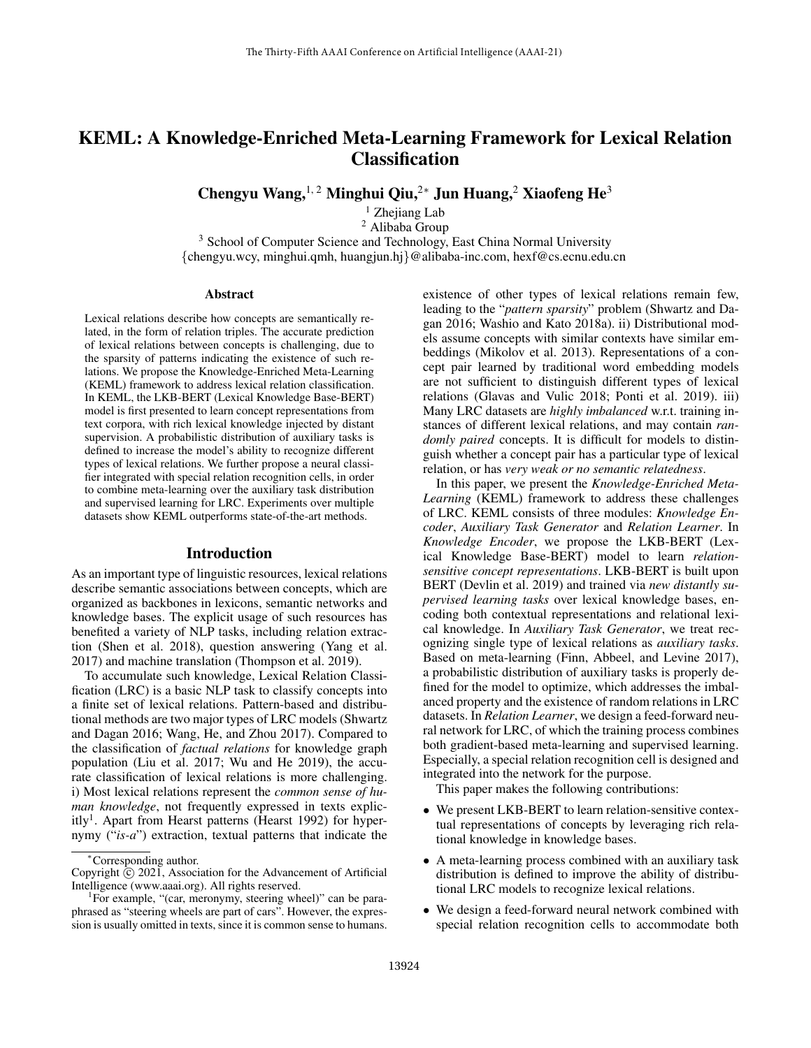# KEML: A Knowledge-Enriched Meta-Learning Framework for Lexical Relation **Classification**

Chengyu Wang,<sup>1, 2</sup> Minghui Qiu,<sup>2∗</sup> Jun Huang,<sup>2</sup> Xiaofeng He<sup>3</sup>

 $1$  Zhejiang Lab <sup>2</sup> Alibaba Group <sup>3</sup> School of Computer Science and Technology, East China Normal University {chengyu.wcy, minghui.qmh, huangjun.hj}@alibaba-inc.com, hexf@cs.ecnu.edu.cn

#### Abstract

Lexical relations describe how concepts are semantically related, in the form of relation triples. The accurate prediction of lexical relations between concepts is challenging, due to the sparsity of patterns indicating the existence of such relations. We propose the Knowledge-Enriched Meta-Learning (KEML) framework to address lexical relation classification. In KEML, the LKB-BERT (Lexical Knowledge Base-BERT) model is first presented to learn concept representations from text corpora, with rich lexical knowledge injected by distant supervision. A probabilistic distribution of auxiliary tasks is defined to increase the model's ability to recognize different types of lexical relations. We further propose a neural classifier integrated with special relation recognition cells, in order to combine meta-learning over the auxiliary task distribution and supervised learning for LRC. Experiments over multiple datasets show KEML outperforms state-of-the-art methods.

## Introduction

As an important type of linguistic resources, lexical relations describe semantic associations between concepts, which are organized as backbones in lexicons, semantic networks and knowledge bases. The explicit usage of such resources has benefited a variety of NLP tasks, including relation extraction (Shen et al. 2018), question answering (Yang et al. 2017) and machine translation (Thompson et al. 2019).

To accumulate such knowledge, Lexical Relation Classification (LRC) is a basic NLP task to classify concepts into a finite set of lexical relations. Pattern-based and distributional methods are two major types of LRC models (Shwartz and Dagan 2016; Wang, He, and Zhou 2017). Compared to the classification of *factual relations* for knowledge graph population (Liu et al. 2017; Wu and He 2019), the accurate classification of lexical relations is more challenging. i) Most lexical relations represent the *common sense of human knowledge*, not frequently expressed in texts explicitly<sup>1</sup>. Apart from Hearst patterns (Hearst 1992) for hypernymy ("*is-a*") extraction, textual patterns that indicate the

existence of other types of lexical relations remain few, leading to the "*pattern sparsity*" problem (Shwartz and Dagan 2016; Washio and Kato 2018a). ii) Distributional models assume concepts with similar contexts have similar embeddings (Mikolov et al. 2013). Representations of a concept pair learned by traditional word embedding models are not sufficient to distinguish different types of lexical relations (Glavas and Vulic 2018; Ponti et al. 2019). iii) Many LRC datasets are *highly imbalanced* w.r.t. training instances of different lexical relations, and may contain *randomly paired* concepts. It is difficult for models to distinguish whether a concept pair has a particular type of lexical relation, or has *very weak or no semantic relatedness*.

In this paper, we present the *Knowledge-Enriched Meta-Learning* (KEML) framework to address these challenges of LRC. KEML consists of three modules: *Knowledge Encoder*, *Auxiliary Task Generator* and *Relation Learner*. In *Knowledge Encoder*, we propose the LKB-BERT (Lexical Knowledge Base-BERT) model to learn *relationsensitive concept representations*. LKB-BERT is built upon BERT (Devlin et al. 2019) and trained via *new distantly supervised learning tasks* over lexical knowledge bases, encoding both contextual representations and relational lexical knowledge. In *Auxiliary Task Generator*, we treat recognizing single type of lexical relations as *auxiliary tasks*. Based on meta-learning (Finn, Abbeel, and Levine 2017), a probabilistic distribution of auxiliary tasks is properly defined for the model to optimize, which addresses the imbalanced property and the existence of random relations in LRC datasets. In *Relation Learner*, we design a feed-forward neural network for LRC, of which the training process combines both gradient-based meta-learning and supervised learning. Especially, a special relation recognition cell is designed and integrated into the network for the purpose.

This paper makes the following contributions:

- We present LKB-BERT to learn relation-sensitive contextual representations of concepts by leveraging rich relational knowledge in knowledge bases.
- A meta-learning process combined with an auxiliary task distribution is defined to improve the ability of distributional LRC models to recognize lexical relations.
- We design a feed-forward neural network combined with special relation recognition cells to accommodate both

<sup>∗</sup>Corresponding author.

Copyright  $\rm \tilde{C}$  2021, Association for the Advancement of Artificial Intelligence (www.aaai.org). All rights reserved.

<sup>&</sup>lt;sup>1</sup>For example, "(car, meronymy, steering wheel)" can be paraphrased as "steering wheels are part of cars". However, the expression is usually omitted in texts, since it is common sense to humans.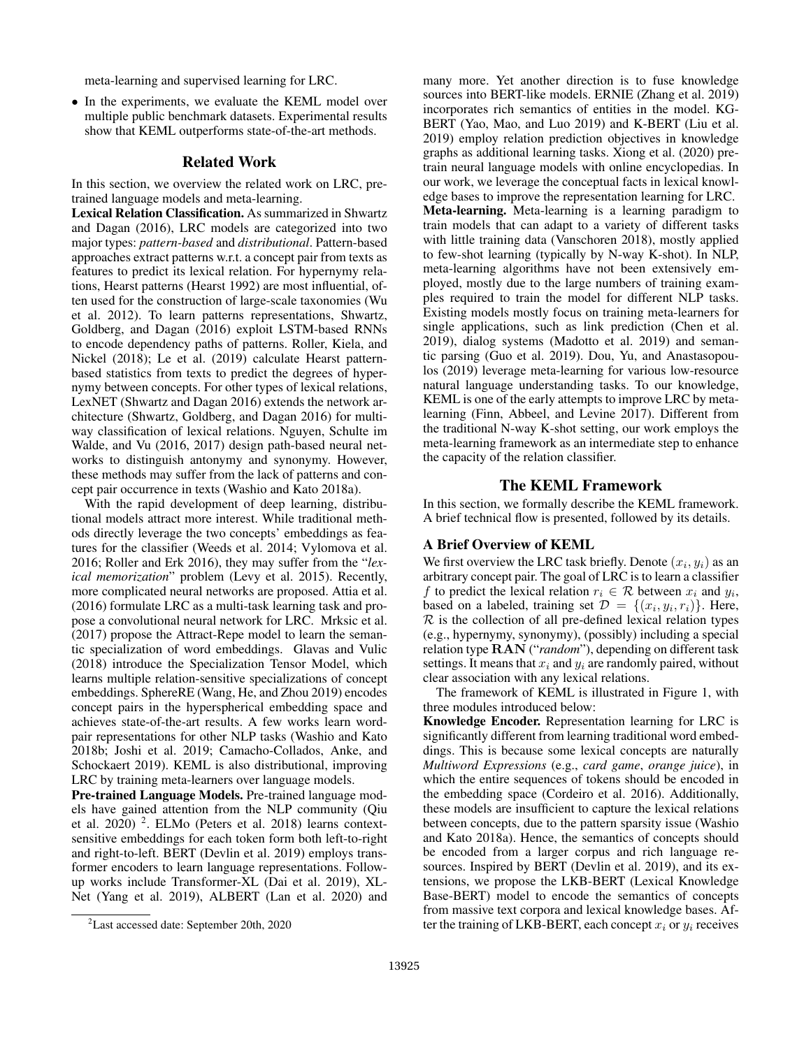meta-learning and supervised learning for LRC.

• In the experiments, we evaluate the KEML model over multiple public benchmark datasets. Experimental results show that KEML outperforms state-of-the-art methods.

# Related Work

In this section, we overview the related work on LRC, pretrained language models and meta-learning.

Lexical Relation Classification. As summarized in Shwartz and Dagan (2016), LRC models are categorized into two major types: *pattern-based* and *distributional*. Pattern-based approaches extract patterns w.r.t. a concept pair from texts as features to predict its lexical relation. For hypernymy relations, Hearst patterns (Hearst 1992) are most influential, often used for the construction of large-scale taxonomies (Wu et al. 2012). To learn patterns representations, Shwartz, Goldberg, and Dagan (2016) exploit LSTM-based RNNs to encode dependency paths of patterns. Roller, Kiela, and Nickel (2018); Le et al. (2019) calculate Hearst patternbased statistics from texts to predict the degrees of hypernymy between concepts. For other types of lexical relations, LexNET (Shwartz and Dagan 2016) extends the network architecture (Shwartz, Goldberg, and Dagan 2016) for multiway classification of lexical relations. Nguyen, Schulte im Walde, and Vu (2016, 2017) design path-based neural networks to distinguish antonymy and synonymy. However, these methods may suffer from the lack of patterns and concept pair occurrence in texts (Washio and Kato 2018a).

With the rapid development of deep learning, distributional models attract more interest. While traditional methods directly leverage the two concepts' embeddings as features for the classifier (Weeds et al. 2014; Vylomova et al. 2016; Roller and Erk 2016), they may suffer from the "*lexical memorization*" problem (Levy et al. 2015). Recently, more complicated neural networks are proposed. Attia et al. (2016) formulate LRC as a multi-task learning task and propose a convolutional neural network for LRC. Mrksic et al. (2017) propose the Attract-Repe model to learn the semantic specialization of word embeddings. Glavas and Vulic (2018) introduce the Specialization Tensor Model, which learns multiple relation-sensitive specializations of concept embeddings. SphereRE (Wang, He, and Zhou 2019) encodes concept pairs in the hyperspherical embedding space and achieves state-of-the-art results. A few works learn wordpair representations for other NLP tasks (Washio and Kato 2018b; Joshi et al. 2019; Camacho-Collados, Anke, and Schockaert 2019). KEML is also distributional, improving LRC by training meta-learners over language models.

Pre-trained Language Models. Pre-trained language models have gained attention from the NLP community (Qiu et al. 2020)<sup>2</sup>. ELMo (Peters et al. 2018) learns contextsensitive embeddings for each token form both left-to-right and right-to-left. BERT (Devlin et al. 2019) employs transformer encoders to learn language representations. Followup works include Transformer-XL (Dai et al. 2019), XL-Net (Yang et al. 2019), ALBERT (Lan et al. 2020) and

many more. Yet another direction is to fuse knowledge sources into BERT-like models. ERNIE (Zhang et al. 2019) incorporates rich semantics of entities in the model. KG-BERT (Yao, Mao, and Luo 2019) and K-BERT (Liu et al. 2019) employ relation prediction objectives in knowledge graphs as additional learning tasks. Xiong et al. (2020) pretrain neural language models with online encyclopedias. In our work, we leverage the conceptual facts in lexical knowledge bases to improve the representation learning for LRC. Meta-learning. Meta-learning is a learning paradigm to

train models that can adapt to a variety of different tasks with little training data (Vanschoren 2018), mostly applied to few-shot learning (typically by N-way K-shot). In NLP, meta-learning algorithms have not been extensively employed, mostly due to the large numbers of training examples required to train the model for different NLP tasks. Existing models mostly focus on training meta-learners for single applications, such as link prediction (Chen et al. 2019), dialog systems (Madotto et al. 2019) and semantic parsing (Guo et al. 2019). Dou, Yu, and Anastasopoulos (2019) leverage meta-learning for various low-resource natural language understanding tasks. To our knowledge, KEML is one of the early attempts to improve LRC by metalearning (Finn, Abbeel, and Levine 2017). Different from the traditional N-way K-shot setting, our work employs the meta-learning framework as an intermediate step to enhance the capacity of the relation classifier.

# The KEML Framework

In this section, we formally describe the KEML framework. A brief technical flow is presented, followed by its details.

#### A Brief Overview of KEML

We first overview the LRC task briefly. Denote  $(x_i, y_i)$  as an arbitrary concept pair. The goal of LRC is to learn a classifier f to predict the lexical relation  $r_i \in \mathcal{R}$  between  $x_i$  and  $y_i$ , based on a labeled, training set  $\mathcal{D} = \{(x_i, y_i, r_i)\}\.$  Here,  $\mathcal R$  is the collection of all pre-defined lexical relation types (e.g., hypernymy, synonymy), (possibly) including a special relation type RAN ("*random*"), depending on different task settings. It means that  $x_i$  and  $y_i$  are randomly paired, without clear association with any lexical relations.

The framework of KEML is illustrated in Figure 1, with three modules introduced below:

Knowledge Encoder. Representation learning for LRC is significantly different from learning traditional word embeddings. This is because some lexical concepts are naturally *Multiword Expressions* (e.g., *card game*, *orange juice*), in which the entire sequences of tokens should be encoded in the embedding space (Cordeiro et al. 2016). Additionally, these models are insufficient to capture the lexical relations between concepts, due to the pattern sparsity issue (Washio and Kato 2018a). Hence, the semantics of concepts should be encoded from a larger corpus and rich language resources. Inspired by BERT (Devlin et al. 2019), and its extensions, we propose the LKB-BERT (Lexical Knowledge Base-BERT) model to encode the semantics of concepts from massive text corpora and lexical knowledge bases. After the training of LKB-BERT, each concept  $x_i$  or  $y_i$  receives

<sup>2</sup>Last accessed date: September 20th, 2020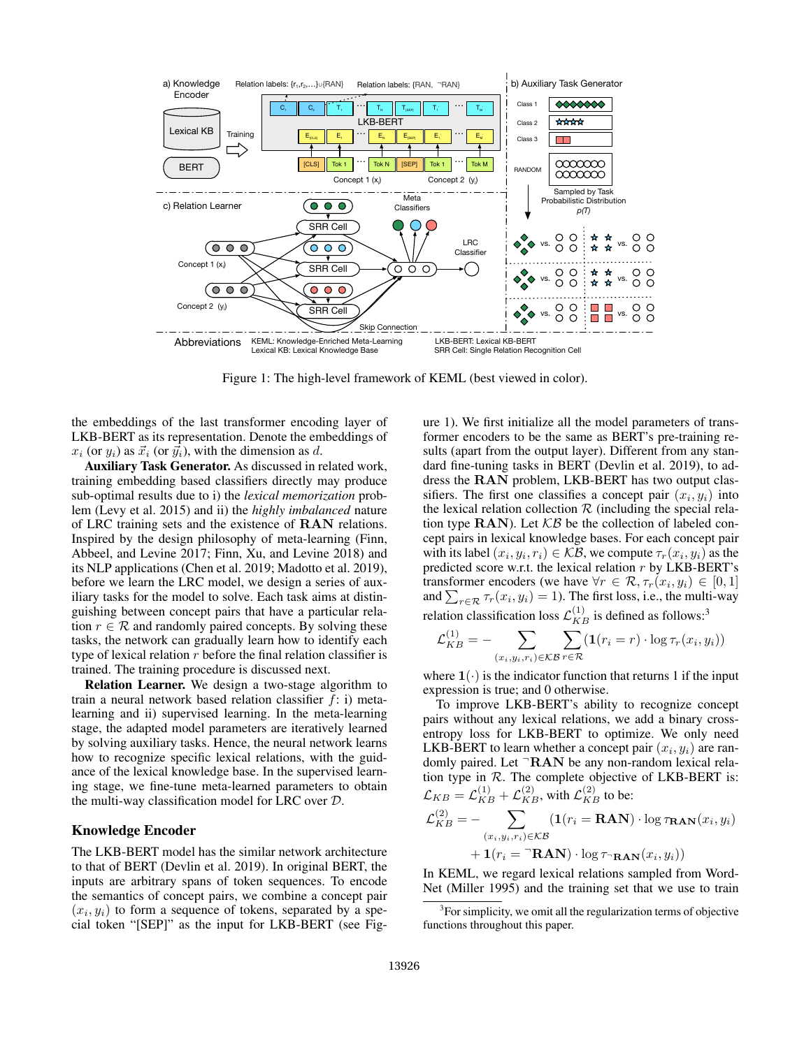

Figure 1: The high-level framework of KEML (best viewed in color).

the embeddings of the last transformer encoding layer of LKB-BERT as its representation. Denote the embeddings of  $x_i$  (or  $y_i$ ) as  $\vec{x}_i$  (or  $\vec{y}_i$ ), with the dimension as d.

Auxiliary Task Generator. As discussed in related work, training embedding based classifiers directly may produce sub-optimal results due to i) the *lexical memorization* problem (Levy et al. 2015) and ii) the *highly imbalanced* nature of LRC training sets and the existence of RAN relations. Inspired by the design philosophy of meta-learning (Finn, Abbeel, and Levine 2017; Finn, Xu, and Levine 2018) and its NLP applications (Chen et al. 2019; Madotto et al. 2019), before we learn the LRC model, we design a series of auxiliary tasks for the model to solve. Each task aims at distinguishing between concept pairs that have a particular relation  $r \in \mathcal{R}$  and randomly paired concepts. By solving these tasks, the network can gradually learn how to identify each type of lexical relation  $r$  before the final relation classifier is trained. The training procedure is discussed next.

Relation Learner. We design a two-stage algorithm to train a neural network based relation classifier  $f$ : i) metalearning and ii) supervised learning. In the meta-learning stage, the adapted model parameters are iteratively learned by solving auxiliary tasks. Hence, the neural network learns how to recognize specific lexical relations, with the guidance of the lexical knowledge base. In the supervised learning stage, we fine-tune meta-learned parameters to obtain the multi-way classification model for LRC over D.

# Knowledge Encoder

The LKB-BERT model has the similar network architecture to that of BERT (Devlin et al. 2019). In original BERT, the inputs are arbitrary spans of token sequences. To encode the semantics of concept pairs, we combine a concept pair  $(x_i, y_i)$  to form a sequence of tokens, separated by a special token "[SEP]" as the input for LKB-BERT (see Fig-

ure 1). We first initialize all the model parameters of transformer encoders to be the same as BERT's pre-training results (apart from the output layer). Different from any standard fine-tuning tasks in BERT (Devlin et al. 2019), to address the RAN problem, LKB-BERT has two output classifiers. The first one classifies a concept pair  $(x_i, y_i)$  into the lexical relation collection  $R$  (including the special relation type  $\text{RAN}$ ). Let  $\mathcal{KB}$  be the collection of labeled concept pairs in lexical knowledge bases. For each concept pair with its label  $(x_i, y_i, r_i) \in \mathcal{KB}$ , we compute  $\tau_r(x_i, y_i)$  as the predicted score w.r.t. the lexical relation  $r$  by LKB-BERT's transformer encoders (we have  $\forall r \in \mathcal{R}, \tau_r(x_i, y_i) \in [0, 1]$ and  $\sum_{r \in \mathcal{R}} \tau_r(x_i, y_i) = 1$ ). The first loss, i.e., the multi-way relation classification loss  $\mathcal{L}_{KB}^{(1)}$  is defined as follows:<sup>3</sup>

$$
\mathcal{L}_{KB}^{(1)} = -\sum_{(x_i, y_i, r_i) \in \mathcal{KB}} \sum_{r \in \mathcal{R}} (\mathbf{1}(r_i = r) \cdot \log \tau_r(x_i, y_i))
$$

where  $1(\cdot)$  is the indicator function that returns 1 if the input expression is true; and 0 otherwise.

To improve LKB-BERT's ability to recognize concept pairs without any lexical relations, we add a binary crossentropy loss for LKB-BERT to optimize. We only need LKB-BERT to learn whether a concept pair  $(x_i, y_i)$  are randomly paired. Let <sup>-</sup>RAN be any non-random lexical relation type in  $R$ . The complete objective of LKB-BERT is:  $\mathcal{L}_{KB} = \mathcal{L}_{KB}^{(1)} + \mathcal{L}_{KB}^{(2)}$ , with  $\mathcal{L}_{KB}^{(2)}$  to be:

$$
\mathcal{L}_{KB}^{(2)} = -\sum_{(x_i, y_i, r_i) \in KB} (\mathbf{1}(r_i = \mathbf{RAN}) \cdot \log \tau_{\mathbf{RAN}}(x_i, y_i) \n+ \mathbf{1}(r_i = \mathbf{RAN}) \cdot \log \tau_{\mathbf{RAN}}(x_i, y_i))
$$

In KEML, we regard lexical relations sampled from Word-Net (Miller 1995) and the training set that we use to train

<sup>&</sup>lt;sup>3</sup> For simplicity, we omit all the regularization terms of objective functions throughout this paper.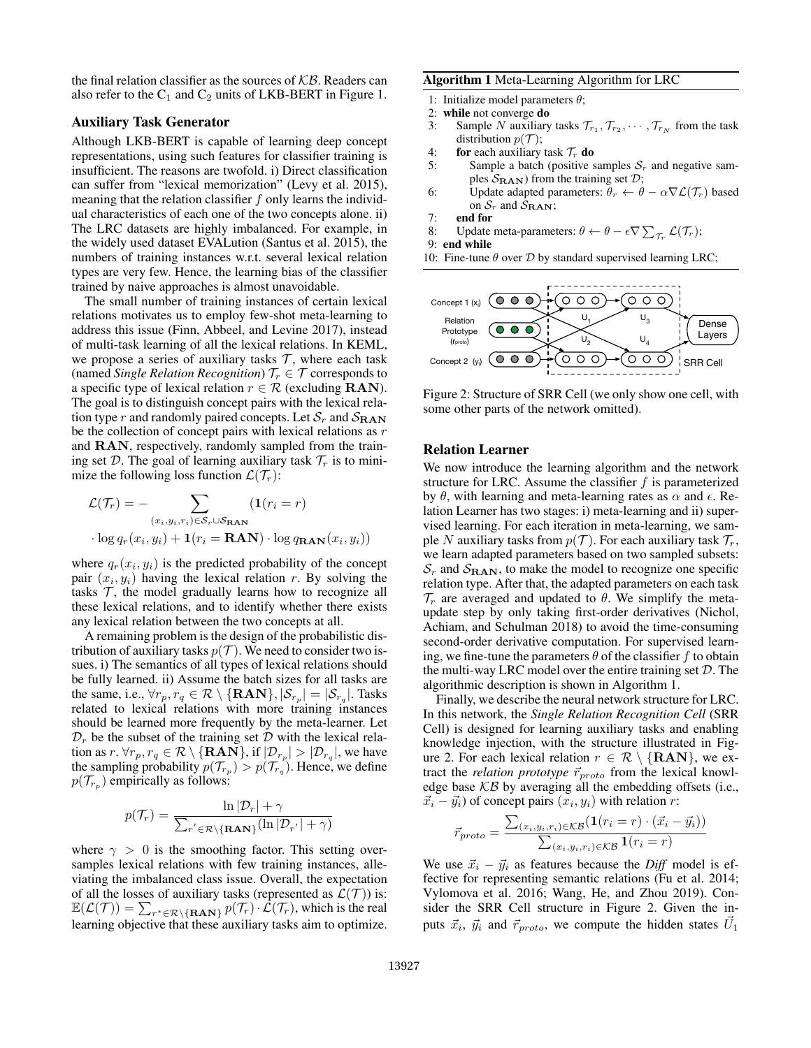the final relation classifier as the sources of  $KB$ . Readers can also refer to the  $C_1$  and  $C_2$  units of LKB-BERT in Figure 1.

# Auxiliary Task Generator

Although LKB-BERT is capable of learning deep concept representations, using such features for classifier training is insufficient. The reasons are twofold. i) Direct classification can suffer from "lexical memorization" (Levy et al. 2015), meaning that the relation classifier  $f$  only learns the individual characteristics of each one of the two concepts alone. ii) The LRC datasets are highly imbalanced. For example, in the widely used dataset EVALution (Santus et al. 2015), the numbers of training instances w.r.t. several lexical relation types are very few. Hence, the learning bias of the classifier trained by naive approaches is almost unavoidable.

The small number of training instances of certain lexical relations motivates us to employ few-shot meta-learning to address this issue (Finn, Abbeel, and Levine 2017), instead of multi-task learning of all the lexical relations. In KEML, we propose a series of auxiliary tasks  $\mathcal{T}$ , where each task (named *Single Relation Recognition*)  $\mathcal{T}_r \in \mathcal{T}$  corresponds to a specific type of lexical relation  $r \in \mathcal{R}$  (excluding **RAN**). The goal is to distinguish concept pairs with the lexical relation type r and randomly paired concepts. Let  $S_r$  and  $S_{RAN}$ be the collection of concept pairs with lexical relations as  $r$ and RAN, respectively, randomly sampled from the training set D. The goal of learning auxiliary task  $\mathcal{T}_r$  is to minimize the following loss function  $\mathcal{L}(\mathcal{T}_r)$ :

$$
\mathcal{L}(\mathcal{T}_r) = - \sum_{(x_i, y_i, r_i) \in \mathcal{S}_r \cup \mathcal{S}_{\mathbf{RAN}}} (\mathbf{1}(r_i = r))
$$

$$
\cdot \log q_r(x_i, y_i) + \mathbf{1}(r_i = \mathbf{RAN}) \cdot \log q_{\mathbf{RAN}}(x_i, y_i))
$$

where  $q_r(x_i, y_i)$  is the predicted probability of the concept pair  $(x_i, y_i)$  having the lexical relation r. By solving the tasks  $\mathcal T$ , the model gradually learns how to recognize all these lexical relations, and to identify whether there exists any lexical relation between the two concepts at all.

A remaining problem is the design of the probabilistic distribution of auxiliary tasks  $p(\mathcal{T})$ . We need to consider two issues. i) The semantics of all types of lexical relations should be fully learned. ii) Assume the batch sizes for all tasks are the same, i.e.,  $\forall r_p, r_q \in \mathcal{R} \setminus \{ \textbf{RAN} \}, |\mathcal{S}_{r_p}| = |\mathcal{S}_{r_q}|$ . Tasks related to lexical relations with more training instances should be learned more frequently by the meta-learner. Let  $\mathcal{D}_r$  be the subset of the training set  $\mathcal D$  with the lexical relation as  $r \cdot \forall r_p, r_q \in \mathcal{R} \setminus \{ \textbf{RAN} \}, \text{ if } |\mathcal{D}_{r_p}| > |\mathcal{D}_{r_q}|, \text{ we have}$ the sampling probability  $p(\mathcal{T}_{r_p}) > p(\mathcal{T}_{r_q})$ . Hence, we define  $p(\mathcal{T}_{r_p})$  empirically as follows:

$$
p(\mathcal{T}_r) = \frac{\ln |\mathcal{D}_r| + \gamma}{\sum_{r' \in \mathcal{R} \setminus \{RAN\}} (\ln |\mathcal{D}_{r'}| + \gamma)}
$$

where  $\gamma > 0$  is the smoothing factor. This setting oversamples lexical relations with few training instances, alleviating the imbalanced class issue. Overall, the expectation of all the losses of auxiliary tasks (represented as  $\mathcal{L}(\mathcal{T})$ ) is:  $\mathbb{E}(\mathcal{L}(\mathcal{T})) = \sum_{r^* \in \mathcal{R} \setminus \{ \textbf{RAN} \}} p(\mathcal{T}_r) \cdot \mathcal{L}(\mathcal{T}_r)$ , which is the real learning objective that these auxiliary tasks aim to optimize.

## Algorithm 1 Meta-Learning Algorithm for LRC

1: Initialize model parameters  $\theta$ ;

- 2: while not converge do
- 3: Sample N auxiliary tasks  $\mathcal{T}_{r_1}, \mathcal{T}_{r_2}, \cdots, \mathcal{T}_{r_N}$  from the task distribution  $p(\mathcal{T})$ ;
- 4: for each auxiliary task  $\mathcal{T}_r$  do
- 5: Sample a batch (positive samples  $S_r$  and negative samples  $S_{\text{RAN}}$ ) from the training set  $\mathcal{D}$ ;
- 6: Update adapted parameters:  $\theta_r \leftarrow \theta \alpha \nabla \mathcal{L}(\mathcal{T}_r)$  based on  $S_r$  and  $S_{RAN}$ ;
- 7: end for
- 8: Update meta-parameters:  $\theta \leftarrow \theta \epsilon \nabla \sum_{\mathcal{T}_r} \mathcal{L}(\mathcal{T}_r);$
- 9: end while
- 10: Fine-tune  $\theta$  over  $\mathcal D$  by standard supervised learning LRC;



Figure 2: Structure of SRR Cell (we only show one cell, with some other parts of the network omitted).

#### Relation Learner

We now introduce the learning algorithm and the network structure for LRC. Assume the classifier  $f$  is parameterized by  $\theta$ , with learning and meta-learning rates as  $\alpha$  and  $\epsilon$ . Relation Learner has two stages: i) meta-learning and ii) supervised learning. For each iteration in meta-learning, we sample N auxiliary tasks from  $p(\mathcal{T})$ . For each auxiliary task  $\mathcal{T}_r$ , we learn adapted parameters based on two sampled subsets:  $S_r$  and  $S_{\text{RAN}}$ , to make the model to recognize one specific relation type. After that, the adapted parameters on each task  $\mathcal{T}_r$  are averaged and updated to  $\theta$ . We simplify the metaupdate step by only taking first-order derivatives (Nichol, Achiam, and Schulman 2018) to avoid the time-consuming second-order derivative computation. For supervised learning, we fine-tune the parameters  $\theta$  of the classifier f to obtain the multi-way LRC model over the entire training set  $D$ . The algorithmic description is shown in Algorithm 1.

Finally, we describe the neural network structure for LRC. In this network, the *Single Relation Recognition Cell* (SRR Cell) is designed for learning auxiliary tasks and enabling knowledge injection, with the structure illustrated in Figure 2. For each lexical relation  $r \in \mathcal{R} \setminus \{RAN\}$ , we extract the *relation prototype*  $\vec{r}_{proto}$  from the lexical knowledge base  $KB$  by averaging all the embedding offsets (i.e.,  $\vec{x}_i - \vec{y}_i$ ) of concept pairs  $(x_i, y_i)$  with relation r:

$$
\vec{r}_{proto} = \frac{\sum_{(x_i, y_i, r_i) \in \mathcal{KB}} (\mathbf{1}(r_i = r) \cdot (\vec{x}_i - \vec{y}_i))}{\sum_{(x_i, y_i, r_i) \in \mathcal{KB}} \mathbf{1}(r_i = r)}
$$

We use  $\vec{x}_i - \vec{y}_i$  as features because the *Diff* model is effective for representing semantic relations (Fu et al. 2014; Vylomova et al. 2016; Wang, He, and Zhou 2019). Consider the SRR Cell structure in Figure 2. Given the inputs  $\vec{x}_i$ ,  $\vec{y}_i$  and  $\vec{r}_{proto}$ , we compute the hidden states  $\vec{U}_1$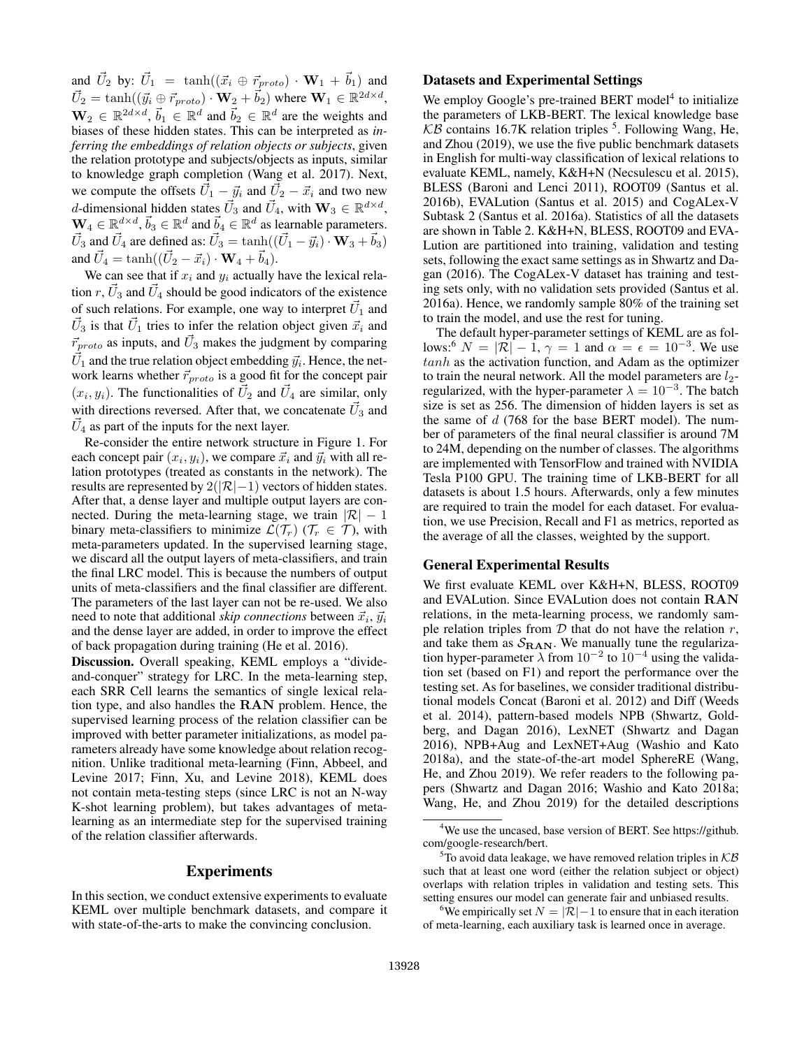and  $\vec{U}_2$  by:  $\vec{U}_1 = \tanh((\vec{x}_i \oplus \vec{r}_{proto}) \cdot \mathbf{W}_1 + \vec{b}_1)$  and  $\vec{U}_2 = \tanh((\vec{y_i} \oplus \vec{r}_{proto}) \cdot \mathbf{W}_2 + \vec{b}_2)$  where  $\mathbf{W}_1 \in \mathbb{R}^{2d \times d}$ ,  $\mathbf{W}_2 \in \mathbb{R}^{2d \times d}$ ,  $\vec{b}_1 \in \mathbb{R}^d$  and  $\vec{b}_2 \in \mathbb{R}^d$  are the weights and biases of these hidden states. This can be interpreted as *inferring the embeddings of relation objects or subjects*, given the relation prototype and subjects/objects as inputs, similar to knowledge graph completion (Wang et al. 2017). Next, we compute the offsets  $\vec{U}_1 - \vec{y}_i$  and  $\vec{U}_2 - \vec{x}_i$  and two new *d*-dimensional hidden states  $\vec{U}_3$  and  $\vec{U}_4$ , with  $\mathbf{W}_3 \in \mathbb{R}^{d \times d}$ ,  $\mathbf{W}_4 \in \mathbb{R}^{d \times d}$ ,  $\vec{b}_3 \in \mathbb{R}^d$  and  $\vec{b}_4 \in \mathbb{R}^d$  as learnable parameters.  $\vec{U}_3$  and  $\vec{U}_4$  are defined as:  $\vec{U}_3 = \tanh((\vec{U}_1 - \vec{y}_i) \cdot \mathbf{W}_3 + \vec{b}_3)$ and  $\vec{U}_4 = \tanh((\vec{U}_2 - \vec{x}_i) \cdot \mathbf{W}_4 + \vec{b}_4).$ 

We can see that if  $x_i$  and  $y_i$  actually have the lexical relation r,  $\vec{U}_3$  and  $\vec{U}_4$  should be good indicators of the existence of such relations. For example, one way to interpret  $\vec{U}_1$  and  $\vec{U}_3$  is that  $\vec{U}_1$  tries to infer the relation object given  $\vec{x}_i$  and  $\vec{r}_{proto}$  as inputs, and  $\vec{U}_3$  makes the judgment by comparing  $\vec{U}_1$  and the true relation object embedding  $\vec{y}_i$ . Hence, the network learns whether  $\vec{r}_{proto}$  is a good fit for the concept pair  $(x_i, y_i)$ . The functionalities of  $\vec{U}_2$  and  $\vec{U}_4$  are similar, only with directions reversed. After that, we concatenate  $\vec{U}_3$  and  $\vec{U}_4$  as part of the inputs for the next layer.

Re-consider the entire network structure in Figure 1. For each concept pair  $(x_i, y_i)$ , we compare  $\vec{x_i}$  and  $\vec{y_i}$  with all relation prototypes (treated as constants in the network). The results are represented by  $2(|\mathcal{R}|-1)$  vectors of hidden states. After that, a dense layer and multiple output layers are connected. During the meta-learning stage, we train  $|\mathcal{R}| - 1$ binary meta-classifiers to minimize  $\mathcal{L}(\mathcal{T}_r)$  ( $\mathcal{T}_r \in \mathcal{T}$ ), with meta-parameters updated. In the supervised learning stage, we discard all the output layers of meta-classifiers, and train the final LRC model. This is because the numbers of output units of meta-classifiers and the final classifier are different. The parameters of the last layer can not be re-used. We also need to note that additional *skip connections* between  $\vec{x}_i$ ,  $\vec{y}_i$ and the dense layer are added, in order to improve the effect of back propagation during training (He et al. 2016).

Discussion. Overall speaking, KEML employs a "divideand-conquer" strategy for LRC. In the meta-learning step, each SRR Cell learns the semantics of single lexical relation type, and also handles the RAN problem. Hence, the supervised learning process of the relation classifier can be improved with better parameter initializations, as model parameters already have some knowledge about relation recognition. Unlike traditional meta-learning (Finn, Abbeel, and Levine 2017; Finn, Xu, and Levine 2018), KEML does not contain meta-testing steps (since LRC is not an N-way K-shot learning problem), but takes advantages of metalearning as an intermediate step for the supervised training of the relation classifier afterwards.

# Experiments

In this section, we conduct extensive experiments to evaluate KEML over multiple benchmark datasets, and compare it with state-of-the-arts to make the convincing conclusion.

## Datasets and Experimental Settings

We employ Google's pre-trained BERT model<sup>4</sup> to initialize the parameters of LKB-BERT. The lexical knowledge base  $KB$  contains 16.7K relation triples <sup>5</sup>. Following Wang, He, and Zhou (2019), we use the five public benchmark datasets in English for multi-way classification of lexical relations to evaluate KEML, namely, K&H+N (Necsulescu et al. 2015), BLESS (Baroni and Lenci 2011), ROOT09 (Santus et al. 2016b), EVALution (Santus et al. 2015) and CogALex-V Subtask 2 (Santus et al. 2016a). Statistics of all the datasets are shown in Table 2. K&H+N, BLESS, ROOT09 and EVA-Lution are partitioned into training, validation and testing sets, following the exact same settings as in Shwartz and Dagan (2016). The CogALex-V dataset has training and testing sets only, with no validation sets provided (Santus et al. 2016a). Hence, we randomly sample 80% of the training set to train the model, and use the rest for tuning.

The default hyper-parameter settings of KEML are as follows:<sup>6</sup>  $N = |\mathcal{R}|-1, \gamma = 1$  and  $\alpha = \epsilon = 10^{-3}$ . We use tanh as the activation function, and Adam as the optimizer to train the neural network. All the model parameters are  $l_2$ regularized, with the hyper-parameter  $\lambda = 10^{-3}$ . The batch size is set as 256. The dimension of hidden layers is set as the same of  $d$  (768 for the base BERT model). The number of parameters of the final neural classifier is around 7M to 24M, depending on the number of classes. The algorithms are implemented with TensorFlow and trained with NVIDIA Tesla P100 GPU. The training time of LKB-BERT for all datasets is about 1.5 hours. Afterwards, only a few minutes are required to train the model for each dataset. For evaluation, we use Precision, Recall and F1 as metrics, reported as the average of all the classes, weighted by the support.

#### General Experimental Results

We first evaluate KEML over K&H+N, BLESS, ROOT09 and EVALution. Since EVALution does not contain RAN relations, in the meta-learning process, we randomly sample relation triples from  $D$  that do not have the relation  $r$ , and take them as  $S_{\rm RAN}$ . We manually tune the regularization hyper-parameter  $\lambda$  from  $10^{-2}$  to  $10^{-4}$  using the validation set (based on F1) and report the performance over the testing set. As for baselines, we consider traditional distributional models Concat (Baroni et al. 2012) and Diff (Weeds et al. 2014), pattern-based models NPB (Shwartz, Goldberg, and Dagan 2016), LexNET (Shwartz and Dagan 2016), NPB+Aug and LexNET+Aug (Washio and Kato 2018a), and the state-of-the-art model SphereRE (Wang, He, and Zhou 2019). We refer readers to the following papers (Shwartz and Dagan 2016; Washio and Kato 2018a; Wang, He, and Zhou 2019) for the detailed descriptions

<sup>4</sup>We use the uncased, base version of BERT. See https://github. com/google-research/bert.

 $5$ To avoid data leakage, we have removed relation triples in  $KB$ such that at least one word (either the relation subject or object) overlaps with relation triples in validation and testing sets. This setting ensures our model can generate fair and unbiased results.

<sup>&</sup>lt;sup>6</sup>We empirically set  $N = |\mathcal{R}| - 1$  to ensure that in each iteration of meta-learning, each auxiliary task is learned once in average.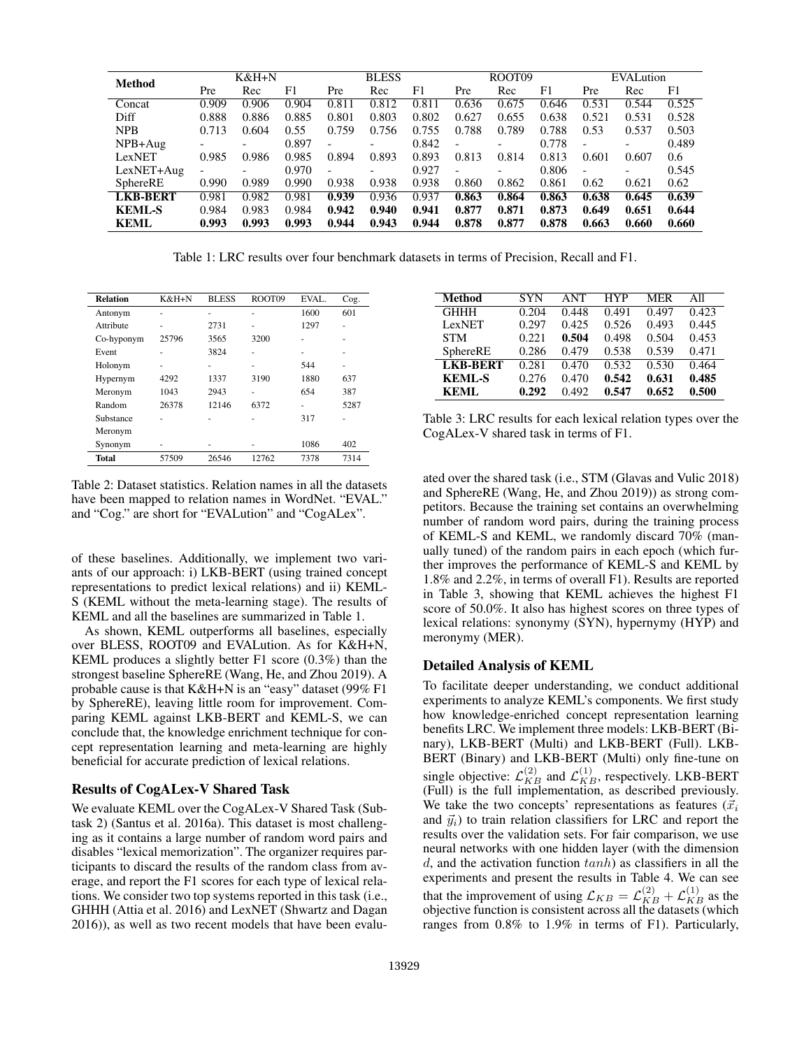| Method          | K&H+N |       |       | <b>BLESS</b>             |                          |       | ROOT09                   |       |       | EVALution                |                          |       |
|-----------------|-------|-------|-------|--------------------------|--------------------------|-------|--------------------------|-------|-------|--------------------------|--------------------------|-------|
|                 | Pre   | Rec   | F1    | Pre                      | Rec                      | F1    | Pre                      | Rec   | F1    | Pre                      | Rec                      | F1    |
| Concat          | 0.909 | 0.906 | 0.904 | 0.811                    | 0.812                    | 0.811 | 0.636                    | 0.675 | 0.646 | 0.531                    | 0.544                    | 0.525 |
| Diff            | 0.888 | 0.886 | 0.885 | 0.801                    | 0.803                    | 0.802 | 0.627                    | 0.655 | 0.638 | 0.521                    | 0.531                    | 0.528 |
| <b>NPB</b>      | 0.713 | 0.604 | 0.55  | 0.759                    | 0.756                    | 0.755 | 0.788                    | 0.789 | 0.788 | 0.53                     | 0.537                    | 0.503 |
| $NPB+Aug$       |       |       | 0.897 | $\overline{\phantom{a}}$ |                          | 0.842 | $\overline{\phantom{a}}$ |       | 0.778 | $\overline{\phantom{a}}$ | $\overline{\phantom{0}}$ | 0.489 |
| LexNET          | 0.985 | 0.986 | 0.985 | 0.894                    | 0.893                    | 0.893 | 0.813                    | 0.814 | 0.813 | 0.601                    | 0.607                    | 0.6   |
| $LexNET+Aug$    |       |       | 0.970 | $\overline{\phantom{a}}$ | $\overline{\phantom{0}}$ | 0.927 | $\overline{\phantom{a}}$ |       | 0.806 | $\overline{\phantom{a}}$ |                          | 0.545 |
| SphereRE        | 0.990 | 0.989 | 0.990 | 0.938                    | 0.938                    | 0.938 | 0.860                    | 0.862 | 0.861 | 0.62                     | 0.621                    | 0.62  |
| <b>LKB-BERT</b> | 0.981 | 0.982 | 0.981 | 0.939                    | 0.936                    | 0.937 | 0.863                    | 0.864 | 0.863 | 0.638                    | 0.645                    | 0.639 |
| <b>KEML-S</b>   | 0.984 | 0.983 | 0.984 | 0.942                    | 0.940                    | 0.941 | 0.877                    | 0.871 | 0.873 | 0.649                    | 0.651                    | 0.644 |
| <b>KEML</b>     | 0.993 | 0.993 | 0.993 | 0.944                    | 0.943                    | 0.944 | 0.878                    | 0.877 | 0.878 | 0.663                    | 0.660                    | 0.660 |

Table 1: LRC results over four benchmark datasets in terms of Precision, Recall and F1.

| <b>Relation</b><br>K&H+N |       | <b>BLESS</b> | ROOT09 | EVAL. | Cog. |
|--------------------------|-------|--------------|--------|-------|------|
| Antonym                  | ۰     | -            |        | 1600  | 601  |
| Attribute                | ۰     | 2731         | ۰      | 1297  |      |
| Co-hyponym               | 25796 |              | 3200   |       | ۰    |
| Event                    |       | 3824         |        |       |      |
| Holonym                  |       | -            |        | 544   |      |
| Hypernym                 | 4292  | 1337         | 3190   | 1880  | 637  |
| Meronym                  | 1043  | 2943         |        | 654   | 387  |
| Random                   | 26378 | 12146        | 6372   |       | 5287 |
| Substance<br>۰           |       | ۰            | ۰      | 317   | ۰    |
| Meronym                  |       |              |        |       |      |
| Synonym                  |       |              |        | 1086  | 402  |
| Total                    | 57509 | 26546        | 12762  | 7378  | 7314 |

Table 2: Dataset statistics. Relation names in all the datasets have been mapped to relation names in WordNet. "EVAL." and "Cog." are short for "EVALution" and "CogALex".

of these baselines. Additionally, we implement two variants of our approach: i) LKB-BERT (using trained concept representations to predict lexical relations) and ii) KEML-S (KEML without the meta-learning stage). The results of KEML and all the baselines are summarized in Table 1.

As shown, KEML outperforms all baselines, especially over BLESS, ROOT09 and EVALution. As for K&H+N, KEML produces a slightly better F1 score (0.3%) than the strongest baseline SphereRE (Wang, He, and Zhou 2019). A probable cause is that K&H+N is an "easy" dataset (99% F1 by SphereRE), leaving little room for improvement. Comparing KEML against LKB-BERT and KEML-S, we can conclude that, the knowledge enrichment technique for concept representation learning and meta-learning are highly beneficial for accurate prediction of lexical relations.

#### Results of CogALex-V Shared Task

We evaluate KEML over the CogALex-V Shared Task (Subtask 2) (Santus et al. 2016a). This dataset is most challenging as it contains a large number of random word pairs and disables "lexical memorization". The organizer requires participants to discard the results of the random class from average, and report the F1 scores for each type of lexical relations. We consider two top systems reported in this task (i.e., GHHH (Attia et al. 2016) and LexNET (Shwartz and Dagan 2016)), as well as two recent models that have been evalu-

| Method          | <b>SYN</b> | <b>ANT</b> | <b>HYP</b> | <b>MER</b> | All   |
|-----------------|------------|------------|------------|------------|-------|
| <b>GHHH</b>     | 0.204      | 0.448      | 0.491      | 0.497      | 0.423 |
| LexNET          | 0.297      | 0.425      | 0.526      | 0.493      | 0.445 |
| <b>STM</b>      | 0.221      | 0.504      | 0.498      | 0.504      | 0.453 |
| SphereRE        | 0.286      | 0.479      | 0.538      | 0.539      | 0.471 |
| <b>LKB-BERT</b> | 0.281      | 0.470      | 0.532      | 0.530      | 0.464 |
| <b>KEML-S</b>   | 0.276      | 0.470      | 0.542      | 0.631      | 0.485 |
| KEML            | 0.292      | 0.492      | 0.547      | 0.652      | 0.500 |

Table 3: LRC results for each lexical relation types over the CogALex-V shared task in terms of F1.

ated over the shared task (i.e., STM (Glavas and Vulic 2018) and SphereRE (Wang, He, and Zhou 2019)) as strong competitors. Because the training set contains an overwhelming number of random word pairs, during the training process of KEML-S and KEML, we randomly discard 70% (manually tuned) of the random pairs in each epoch (which further improves the performance of KEML-S and KEML by 1.8% and 2.2%, in terms of overall F1). Results are reported in Table 3, showing that KEML achieves the highest F1 score of 50.0%. It also has highest scores on three types of lexical relations: synonymy (SYN), hypernymy (HYP) and meronymy (MER).

# Detailed Analysis of KEML

To facilitate deeper understanding, we conduct additional experiments to analyze KEML's components. We first study how knowledge-enriched concept representation learning benefits LRC. We implement three models: LKB-BERT (Binary), LKB-BERT (Multi) and LKB-BERT (Full). LKB-BERT (Binary) and LKB-BERT (Multi) only fine-tune on single objective:  $\mathcal{L}_{KB}^{(2)}$  and  $\mathcal{L}_{KB}^{(1)}$ , respectively. LKB-BERT (Full) is the full implementation, as described previously. We take the two concepts' representations as features  $(\vec{x}_i)$ and  $\vec{y}_i$ ) to train relation classifiers for LRC and report the results over the validation sets. For fair comparison, we use neural networks with one hidden layer (with the dimension d, and the activation function  $tanh$ ) as classifiers in all the experiments and present the results in Table 4. We can see that the improvement of using  $\mathcal{L}_{KB} = \mathcal{L}_{KB}^{(2)} + \mathcal{L}_{KB}^{(1)}$  as the objective function is consistent across all the datasets (which ranges from 0.8% to 1.9% in terms of F1). Particularly,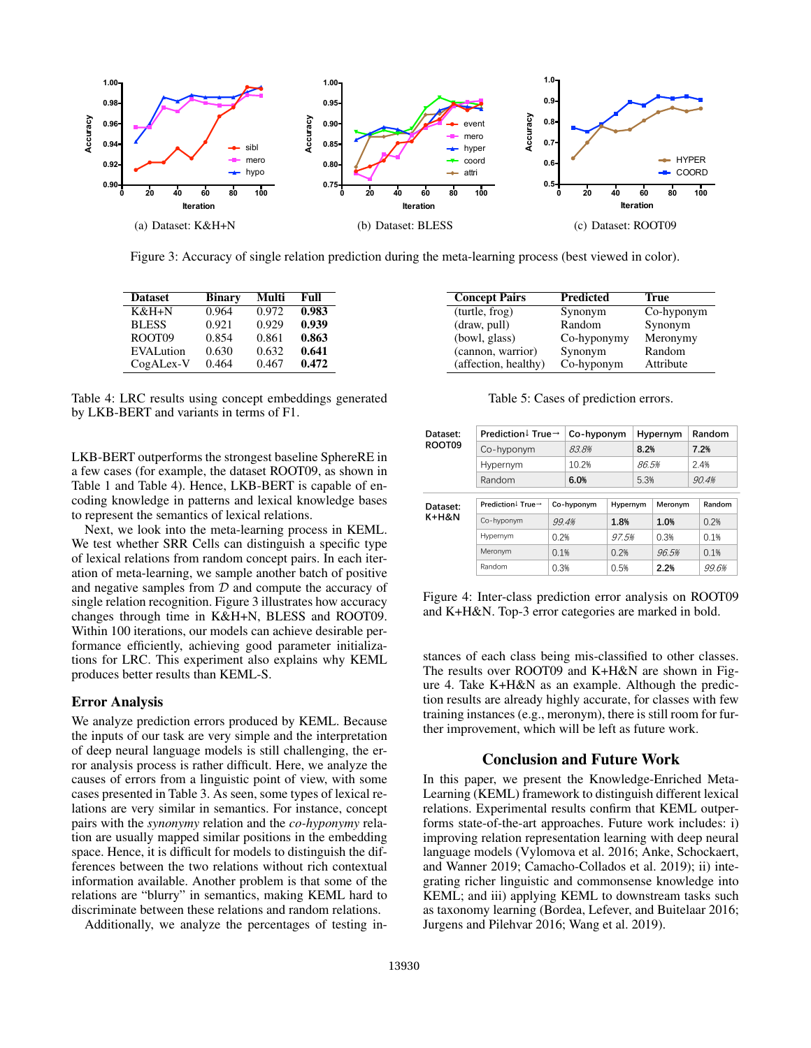

Figure 3: Accuracy of single relation prediction during the meta-learning process (best viewed in color).

| <b>Dataset</b>     | <b>Binary</b> | Multi | Full  |
|--------------------|---------------|-------|-------|
| K&H+N              | 0.964         | 0.972 | 0.983 |
| <b>BLESS</b>       | 0.921         | 0.929 | 0.939 |
| ROOT <sub>09</sub> | 0.854         | 0.861 | 0.863 |
| <b>EVALution</b>   | 0.630         | 0.632 | 0.641 |
| CogALex-V          | 0.464         | 0.467 | 0.472 |

Table 4: LRC results using concept embeddings generated by LKB-BERT and variants in terms of F1.

LKB-BERT outperforms the strongest baseline SphereRE in a few cases (for example, the dataset ROOT09, as shown in Table 1 and Table 4). Hence, LKB-BERT is capable of encoding knowledge in patterns and lexical knowledge bases to represent the semantics of lexical relations.

Next, we look into the meta-learning process in KEML. We test whether SRR Cells can distinguish a specific type of lexical relations from random concept pairs. In each iteration of meta-learning, we sample another batch of positive and negative samples from  $D$  and compute the accuracy of single relation recognition. Figure 3 illustrates how accuracy changes through time in K&H+N, BLESS and ROOT09. Within 100 iterations, our models can achieve desirable performance efficiently, achieving good parameter initializations for LRC. This experiment also explains why KEML produces better results than KEML-S.

# Error Analysis

We analyze prediction errors produced by KEML. Because the inputs of our task are very simple and the interpretation of deep neural language models is still challenging, the error analysis process is rather difficult. Here, we analyze the causes of errors from a linguistic point of view, with some cases presented in Table 3. As seen, some types of lexical relations are very similar in semantics. For instance, concept pairs with the *synonymy* relation and the *co-hyponymy* relation are usually mapped similar positions in the embedding space. Hence, it is difficult for models to distinguish the differences between the two relations without rich contextual information available. Another problem is that some of the relations are "blurry" in semantics, making KEML hard to discriminate between these relations and random relations.

Additionally, we analyze the percentages of testing in-

| <b>Concept Pairs</b> | <b>Predicted</b> | True       |
|----------------------|------------------|------------|
| (turtle, frog)       | Synonym          | Co-hyponym |
| draw, pull)          | Random           | Synonym    |
| (bowl, glass)        | Co-hyponymy      | Meronymy   |
| (cannon, warrior)    | Synonym          | Random     |
| (affection, healthy) | Co-hyponym       | Attribute  |

Table 5: Cases of prediction errors.

| Dataset:<br>ROOT09 | Prediction $\downarrow$ True $\rightarrow$ | Co-hyponym |            | Hypernym |          | Random  |       |        |
|--------------------|--------------------------------------------|------------|------------|----------|----------|---------|-------|--------|
|                    | Co-hyponym                                 |            | 83.8%      |          | 8.2%     |         | 7.2%  |        |
|                    | Hypernym                                   |            | 10.2%      |          | 86.5%    |         | 2.4%  |        |
|                    | Random                                     |            | 6.0%       |          | 5.3%     |         | 90.4% |        |
|                    |                                            |            |            |          |          |         |       |        |
| Dataset:           | Prediction <sup>1</sup> True $\rightarrow$ |            | Co-hyponym |          | Hypernym | Meronym |       | Random |
| K+H&N              | Co-hyponym                                 |            | 99.4%      | 1.8%     |          | 1.0%    |       | 0.2%   |
|                    | Hypernym<br>0.2%                           |            |            | 97.5%    |          | 0.3%    |       | 0.1%   |
|                    | Meronym<br>0.1%                            |            | 0.2%       |          |          | 96.5%   |       | 0.1%   |
|                    | Random                                     | 0.3%       | 0.5%       |          |          | 2.2%    |       | 99.6%  |

Figure 4: Inter-class prediction error analysis on ROOT09 and K+H&N. Top-3 error categories are marked in bold.

stances of each class being mis-classified to other classes. The results over ROOT09 and K+H&N are shown in Figure 4. Take K+H&N as an example. Although the prediction results are already highly accurate, for classes with few training instances (e.g., meronym), there is still room for further improvement, which will be left as future work.

# Conclusion and Future Work

In this paper, we present the Knowledge-Enriched Meta-Learning (KEML) framework to distinguish different lexical relations. Experimental results confirm that KEML outperforms state-of-the-art approaches. Future work includes: i) improving relation representation learning with deep neural language models (Vylomova et al. 2016; Anke, Schockaert, and Wanner 2019; Camacho-Collados et al. 2019); ii) integrating richer linguistic and commonsense knowledge into KEML; and iii) applying KEML to downstream tasks such as taxonomy learning (Bordea, Lefever, and Buitelaar 2016; Jurgens and Pilehvar 2016; Wang et al. 2019).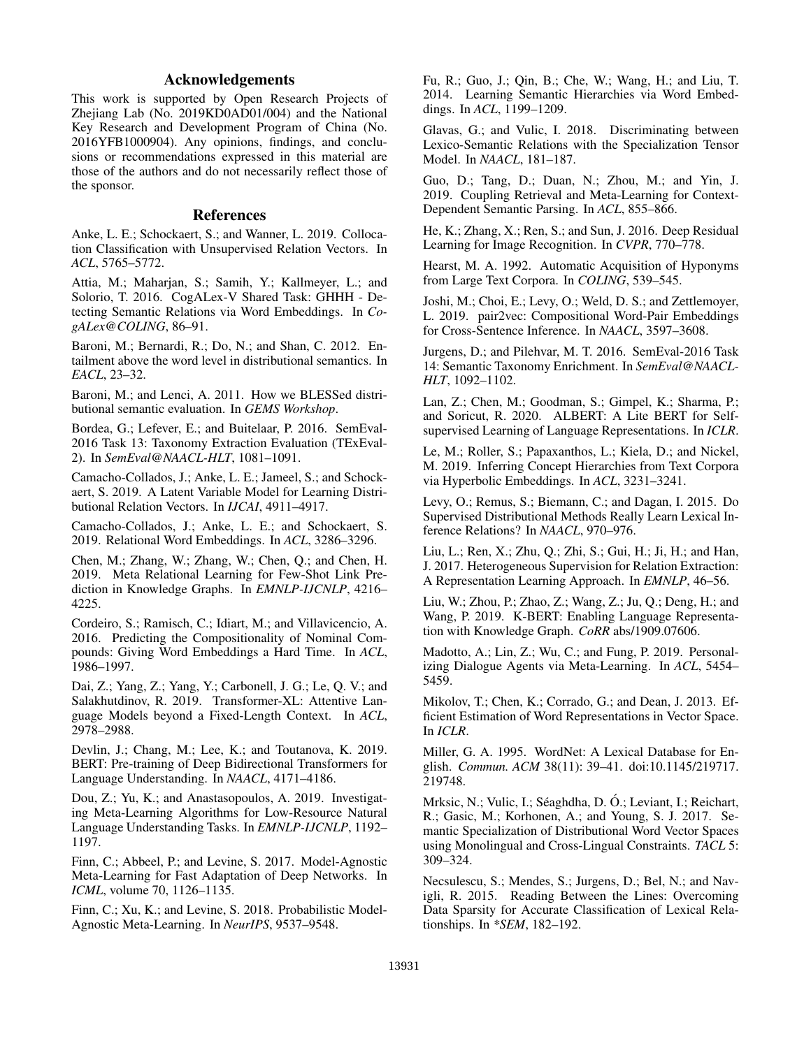# Acknowledgements

This work is supported by Open Research Projects of Zhejiang Lab (No. 2019KD0AD01/004) and the National Key Research and Development Program of China (No. 2016YFB1000904). Any opinions, findings, and conclusions or recommendations expressed in this material are those of the authors and do not necessarily reflect those of the sponsor.

#### References

Anke, L. E.; Schockaert, S.; and Wanner, L. 2019. Collocation Classification with Unsupervised Relation Vectors. In *ACL*, 5765–5772.

Attia, M.; Maharjan, S.; Samih, Y.; Kallmeyer, L.; and Solorio, T. 2016. CogALex-V Shared Task: GHHH - Detecting Semantic Relations via Word Embeddings. In *CogALex@COLING*, 86–91.

Baroni, M.; Bernardi, R.; Do, N.; and Shan, C. 2012. Entailment above the word level in distributional semantics. In *EACL*, 23–32.

Baroni, M.; and Lenci, A. 2011. How we BLESSed distributional semantic evaluation. In *GEMS Workshop*.

Bordea, G.; Lefever, E.; and Buitelaar, P. 2016. SemEval-2016 Task 13: Taxonomy Extraction Evaluation (TExEval-2). In *SemEval@NAACL-HLT*, 1081–1091.

Camacho-Collados, J.; Anke, L. E.; Jameel, S.; and Schockaert, S. 2019. A Latent Variable Model for Learning Distributional Relation Vectors. In *IJCAI*, 4911–4917.

Camacho-Collados, J.; Anke, L. E.; and Schockaert, S. 2019. Relational Word Embeddings. In *ACL*, 3286–3296.

Chen, M.; Zhang, W.; Zhang, W.; Chen, Q.; and Chen, H. 2019. Meta Relational Learning for Few-Shot Link Prediction in Knowledge Graphs. In *EMNLP-IJCNLP*, 4216– 4225.

Cordeiro, S.; Ramisch, C.; Idiart, M.; and Villavicencio, A. 2016. Predicting the Compositionality of Nominal Compounds: Giving Word Embeddings a Hard Time. In *ACL*, 1986–1997.

Dai, Z.; Yang, Z.; Yang, Y.; Carbonell, J. G.; Le, Q. V.; and Salakhutdinov, R. 2019. Transformer-XL: Attentive Language Models beyond a Fixed-Length Context. In *ACL*, 2978–2988.

Devlin, J.; Chang, M.; Lee, K.; and Toutanova, K. 2019. BERT: Pre-training of Deep Bidirectional Transformers for Language Understanding. In *NAACL*, 4171–4186.

Dou, Z.; Yu, K.; and Anastasopoulos, A. 2019. Investigating Meta-Learning Algorithms for Low-Resource Natural Language Understanding Tasks. In *EMNLP-IJCNLP*, 1192– 1197.

Finn, C.; Abbeel, P.; and Levine, S. 2017. Model-Agnostic Meta-Learning for Fast Adaptation of Deep Networks. In *ICML*, volume 70, 1126–1135.

Finn, C.; Xu, K.; and Levine, S. 2018. Probabilistic Model-Agnostic Meta-Learning. In *NeurIPS*, 9537–9548.

Fu, R.; Guo, J.; Qin, B.; Che, W.; Wang, H.; and Liu, T. 2014. Learning Semantic Hierarchies via Word Embeddings. In *ACL*, 1199–1209.

Glavas, G.; and Vulic, I. 2018. Discriminating between Lexico-Semantic Relations with the Specialization Tensor Model. In *NAACL*, 181–187.

Guo, D.; Tang, D.; Duan, N.; Zhou, M.; and Yin, J. 2019. Coupling Retrieval and Meta-Learning for Context-Dependent Semantic Parsing. In *ACL*, 855–866.

He, K.; Zhang, X.; Ren, S.; and Sun, J. 2016. Deep Residual Learning for Image Recognition. In *CVPR*, 770–778.

Hearst, M. A. 1992. Automatic Acquisition of Hyponyms from Large Text Corpora. In *COLING*, 539–545.

Joshi, M.; Choi, E.; Levy, O.; Weld, D. S.; and Zettlemoyer, L. 2019. pair2vec: Compositional Word-Pair Embeddings for Cross-Sentence Inference. In *NAACL*, 3597–3608.

Jurgens, D.; and Pilehvar, M. T. 2016. SemEval-2016 Task 14: Semantic Taxonomy Enrichment. In *SemEval@NAACL-HLT*, 1092–1102.

Lan, Z.; Chen, M.; Goodman, S.; Gimpel, K.; Sharma, P.; and Soricut, R. 2020. ALBERT: A Lite BERT for Selfsupervised Learning of Language Representations. In *ICLR*.

Le, M.; Roller, S.; Papaxanthos, L.; Kiela, D.; and Nickel, M. 2019. Inferring Concept Hierarchies from Text Corpora via Hyperbolic Embeddings. In *ACL*, 3231–3241.

Levy, O.; Remus, S.; Biemann, C.; and Dagan, I. 2015. Do Supervised Distributional Methods Really Learn Lexical Inference Relations? In *NAACL*, 970–976.

Liu, L.; Ren, X.; Zhu, Q.; Zhi, S.; Gui, H.; Ji, H.; and Han, J. 2017. Heterogeneous Supervision for Relation Extraction: A Representation Learning Approach. In *EMNLP*, 46–56.

Liu, W.; Zhou, P.; Zhao, Z.; Wang, Z.; Ju, Q.; Deng, H.; and Wang, P. 2019. K-BERT: Enabling Language Representation with Knowledge Graph. *CoRR* abs/1909.07606.

Madotto, A.; Lin, Z.; Wu, C.; and Fung, P. 2019. Personalizing Dialogue Agents via Meta-Learning. In *ACL*, 5454– 5459.

Mikolov, T.; Chen, K.; Corrado, G.; and Dean, J. 2013. Efficient Estimation of Word Representations in Vector Space. In *ICLR*.

Miller, G. A. 1995. WordNet: A Lexical Database for English. *Commun. ACM* 38(11): 39–41. doi:10.1145/219717. 219748.

Mrksic, N.; Vulic, I.; Séaghdha, D. Ó.; Leviant, I.; Reichart, R.; Gasic, M.; Korhonen, A.; and Young, S. J. 2017. Semantic Specialization of Distributional Word Vector Spaces using Monolingual and Cross-Lingual Constraints. *TACL* 5: 309–324.

Necsulescu, S.; Mendes, S.; Jurgens, D.; Bel, N.; and Navigli, R. 2015. Reading Between the Lines: Overcoming Data Sparsity for Accurate Classification of Lexical Relationships. In *\*SEM*, 182–192.